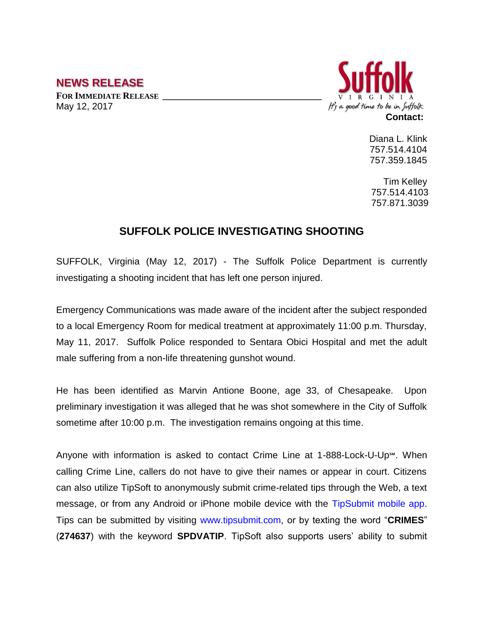## **NEWS RELEASE**

**FOR IMMEDIATE RELEASE \_\_\_\_\_\_\_\_\_\_\_\_\_\_\_\_\_\_\_\_\_\_\_\_\_\_\_\_\_\_\_\_\_\_** May 12, 2017



Diana L. Klink 757.514.4104 757.359.1845

Tim Kelley 757.514.4103 757.871.3039

## **SUFFOLK POLICE INVESTIGATING SHOOTING**

SUFFOLK, Virginia (May 12, 2017) - The Suffolk Police Department is currently investigating a shooting incident that has left one person injured.

Emergency Communications was made aware of the incident after the subject responded to a local Emergency Room for medical treatment at approximately 11:00 p.m. Thursday, May 11, 2017. Suffolk Police responded to Sentara Obici Hospital and met the adult male suffering from a non-life threatening gunshot wound.

He has been identified as Marvin Antione Boone, age 33, of Chesapeake. Upon preliminary investigation it was alleged that he was shot somewhere in the City of Suffolk sometime after 10:00 p.m. The investigation remains ongoing at this time.

Anyone with information is asked to contact Crime Line at 1-888-Lock-U-Up℠. When calling Crime Line, callers do not have to give their names or appear in court. Citizens can also utilize TipSoft to anonymously submit crime-related tips through the Web, a text message, or from any Android or iPhone mobile device with the TipSubmit mobile app. Tips can be submitted by visiting www.tipsubmit.com, or by texting the word "**CRIMES**" (**274637**) with the keyword **SPDVATIP**. TipSoft also supports users' ability to submit